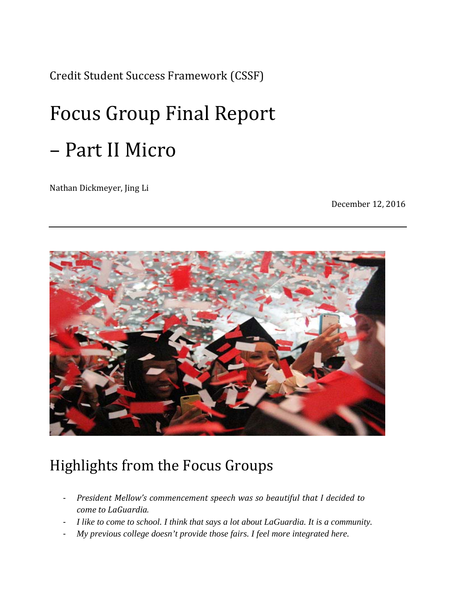Credit Student Success Framework (CSSF) 

# Focus Group Final Report – Part II Micro

Nathan Dickmeyer, Jing Li

December 12, 2016



# Highlights from the Focus Groups

- ‐ *President Mellow's commencement speech was so beautiful that I decided to come to LaGuardia.*
- ‐ *I like to come to school. I think that says a lot about LaGuardia. It is a community.*
- ‐ *My previous college doesn't provide those fairs. I feel more integrated here.*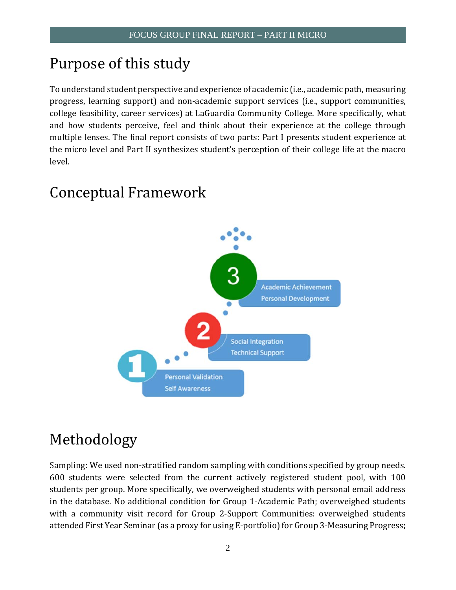# Purpose of this study

To understand student perspective and experience of academic (i.e., academic path, measuring college feasibility, career services) at LaGuardia Community College. More specifically, what multiple lenses. The final report consists of two parts: Part I presents student experience at progress, learning support) and non-academic support services (i.e., support communities, and how students perceive, feel and think about their experience at the college through the micro level and Part II synthesizes student's perception of their college life at the macro level. 

# Conceptual Framework



# Methodology

600 students were selected from the current actively registered student pool, with 100 Sampling: We used non-stratified random sampling with conditions specified by group needs. students per group. More specifically, we overweighed students with personal email address in the database. No additional condition for Group 1-Academic Path; overweighed students with a community visit record for Group 2-Support Communities: overweighed students attended First Year Seminar (as a proxy for using E-portfolio) for Group 3-Measuring Progress;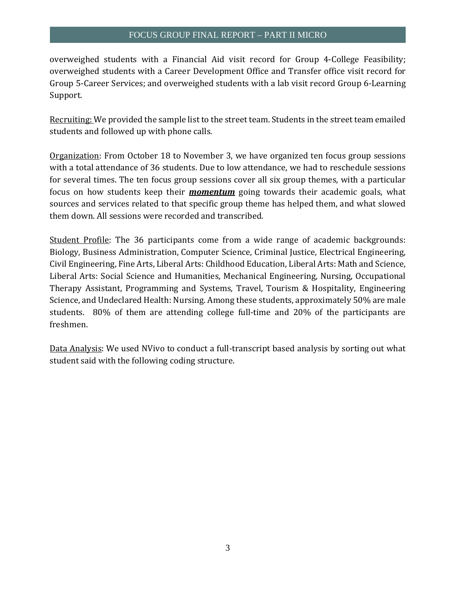overweighed students with a Financial Aid visit record for Group 4-College Feasibility; overweighed students with a Career Development Office and Transfer office visit record for Group 5-Career Services; and overweighed students with a lab visit record Group 6-Learning Support. 

Recruiting: We provided the sample list to the street team. Students in the street team emailed students and followed up with phone calls.

with a total attendance of 36 students. Due to low attendance, we had to reschedule sessions for several times. The ten focus group sessions cover all six group themes, with a particular Organization: From October 18 to November 3, we have organized ten focus group sessions focus on how students keep their **momentum** going towards their academic goals, what sources and services related to that specific group theme has helped them, and what slowed them down. All sessions were recorded and transcribed.

Liberal Arts: Social Science and Humanities, Mechanical Engineering, Nursing, Occupational students. 80% of them are attending college full-time and 20% of the participants are Student Profile: The 36 participants come from a wide range of academic backgrounds: Biology, Business Administration, Computer Science, Criminal Justice, Electrical Engineering, Civil Engineering, Fine Arts, Liberal Arts: Childhood Education, Liberal Arts: Math and Science, Therapy Assistant, Programming and Systems, Travel, Tourism & Hospitality, Engineering Science, and Undeclared Health: Nursing. Among these students, approximately 50% are male freshmen. 

Data Analysis: We used NVivo to conduct a full-transcript based analysis by sorting out what student said with the following coding structure.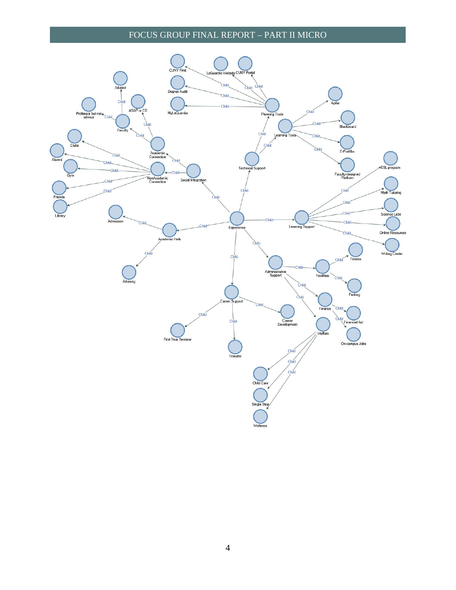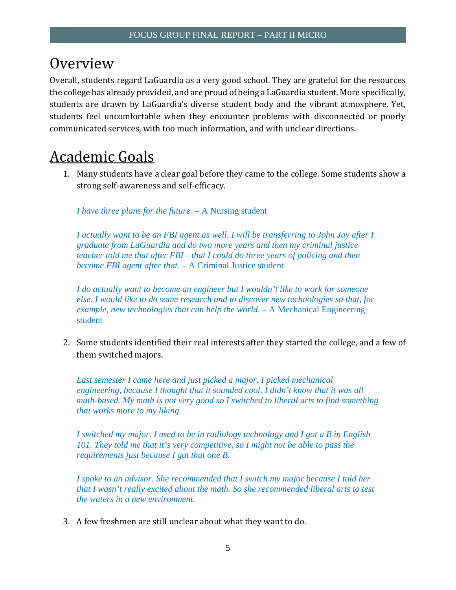# **Overview**

Overall, students regard LaGuardia as a very good school. They are grateful for the resources the college has already provided, and are proud of being a LaGuardia student. More specifically, students feel uncomfortable when they encounter problems with disconnected or poorly students are drawn by LaGuardia's diverse student body and the vibrant atmosphere. Yet, communicated services, with too much information, and with unclear directions.

# **Academic Goals**

1. Many students have a clear goal before they came to the college. Some students show a strong self-awareness and self-efficacy.

*I have three plans for the future. –* A Nursing student

*I actually want to be an FBI agent as well. I will be transferring to John Jay after I graduate from LaGuardia and do two more years and then my criminal justice teacher told me that after FBI—that I could do three years of policing and then become FBI agent after that.* – A Criminal Justice student

*I do actually want to become an engineer but I wouldn't like to work for someone else. I would like to do some research and to discover new technologies so that, for example, new technologies that can help the world.* – A Mechanical Engineering student

2. Some students identified their real interests after they started the college, and a few of them switched majors.

*Last semester I came here and just picked a major. I picked mechanical engineering, because I thought that it sounded cool. I didn't know that it was all math-based. My math is not very good so I switched to liberal arts to find something that works more to my liking.* 

*I switched my major. I used to be in radiology technology and I got a B in English 101. They told me that it's very competitive, so I might not be able to pass the requirements just because I got that one B.* 

*I spoke to an advisor. She recommended that I switch my major because I told her that I wasn't really excited about the math. So she recommended liberal arts to test the waters in a new environment.* 

3. A few freshmen are still unclear about what they want to do.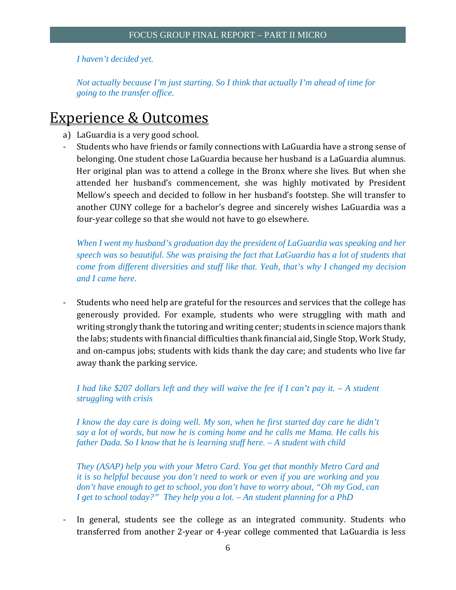*I haven't decided yet.* 

*Not actually because I'm just starting. So I think that actually I'm ahead of time for going to the transfer office.* 

# **Experience & Outcomes**

- a) LaGuardia is a very good school.
- Students who have friends or family connections with LaGuardia have a strong sense of Her original plan was to attend a college in the Bronx where she lives. But when she attended her husband's commencement, she was highly motivated by President belonging. One student chose LaGuardia because her husband is a LaGuardia alumnus. Mellow's speech and decided to follow in her husband's footstep. She will transfer to another CUNY college for a bachelor's degree and sincerely wishes LaGuardia was a four-year college so that she would not have to go elsewhere.

*When I went my husband's graduation day the president of LaGuardia was speaking and her speech was so beautiful. She was praising the fact that LaGuardia has a lot of students that come from different diversities and stuff like that. Yeah, that's why I changed my decision and I came here.* 

generously provided. For example, students who were struggling with math and writing strongly thank the tutoring and writing center; students in science majors thank Students who need help are grateful for the resources and services that the college has the labs; students with financial difficulties thank financial aid, Single Stop, Work Study, and on-campus jobs; students with kids thank the day care; and students who live far away thank the parking service.

*I had like \$207 dollars left and they will waive the fee if I can't pay it. – A student struggling with crisis* 

*I know the day care is doing well. My son, when he first started day care he didn't say a lot of words, but now he is coming home and he calls me Mama. He calls his father Dada. So I know that he is learning stuff here. – A student with child* 

*They (ASAP) help you with your Metro Card. You get that monthly Metro Card and it is so helpful because you don't need to work or even if you are working and you don't have enough to get to school, you don't have to worry about, "Oh my God, can I get to school today?" They help you a lot. – An student planning for a PhD* 

- In general, students see the college as an integrated community. Students who transferred from another 2-year or 4-year college commented that LaGuardia is less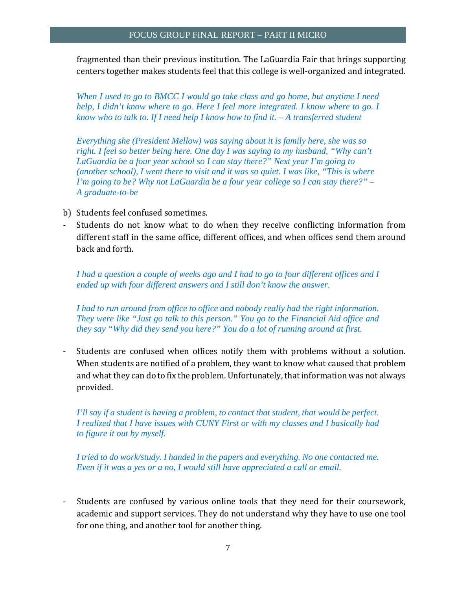fragmented than their previous institution. The LaGuardia Fair that brings supporting centers together makes students feel that this college is well-organized and integrated.

*When I used to go to BMCC I would go take class and go home, but anytime I need help, I didn't know where to go. Here I feel more integrated. I know where to go. I know who to talk to. If I need help I know how to find it. – A transferred student* 

*Everything she (President Mellow) was saying about it is family here, she was so right. I feel so better being here. One day I was saying to my husband, "Why can't LaGuardia be a four year school so I can stay there?" Next year I'm going to (another school), I went there to visit and it was so quiet. I was like, "This is where I'm going to be? Why not LaGuardia be a four year college so I can stay there?" – A graduate-to-be* 

- b) Students feel confused sometimes.
- Students do not know what to do when they receive conflicting information from different staff in the same office, different offices, and when offices send them around back and forth.

*I had a question a couple of weeks ago and I had to go to four different offices and I ended up with four different answers and I still don't know the answer.* 

*I had to run around from office to office and nobody really had the right information. They were like "Just go talk to this person." You go to the Financial Aid office and they say "Why did they send you here?" You do a lot of running around at first.* 

When students are notified of a problem, they want to know what caused that problem - Students are confused when offices notify them with problems without a solution. and what they can do to fix the problem. Unfortunately, that information was not always provided. 

*I'll say if a student is having a problem, to contact that student, that would be perfect. I realized that I have issues with CUNY First or with my classes and I basically had to figure it out by myself.* 

*I tried to do work/study. I handed in the papers and everything. No one contacted me. Even if it was a yes or a no, I would still have appreciated a call or email.* 

Students are confused by various online tools that they need for their coursework, academic and support services. They do not understand why they have to use one tool for one thing, and another tool for another thing.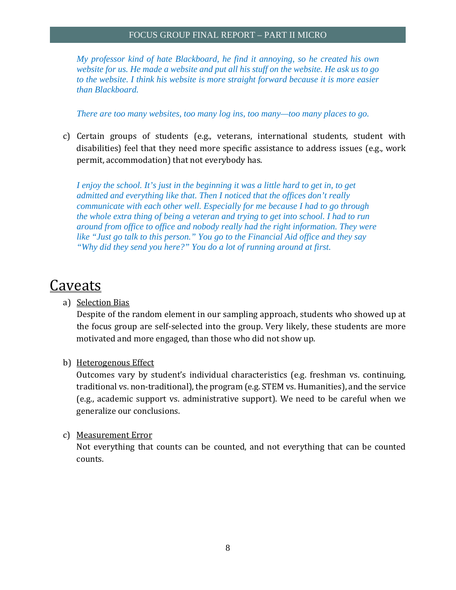*My professor kind of hate Blackboard, he find it annoying, so he created his own website for us. He made a website and put all his stuff on the website. He ask us to go to the website. I think his website is more straight forward because it is more easier than Blackboard.* 

*There are too many websites, too many log ins, too many—too many places to go.* 

c) Certain groups of students (e.g., veterans, international students, student with disabilities) feel that they need more specific assistance to address issues (e.g., work permit, accommodation) that not everybody has.

*I enjoy the school. It's just in the beginning it was a little hard to get in, to get admitted and everything like that. Then I noticed that the offices don't really communicate with each other well. Especially for me because I had to go through the whole extra thing of being a veteran and trying to get into school. I had to run around from office to office and nobody really had the right information. They were like "Just go talk to this person." You go to the Financial Aid office and they say "Why did they send you here?" You do a lot of running around at first.* 

# Caveats

a) Selection Bias

Despite of the random element in our sampling approach, students who showed up at the focus group are self-selected into the group. Very likely, these students are more motivated and more engaged, than those who did not show up.

#### b) Heterogenous Effect

Outcomes vary by student's individual characteristics (e.g. freshman vs. continuing, traditional vs. non-traditional), the program (e.g. STEM vs. Humanities), and the service (e.g., academic support vs. administrative support). We need to be careful when we generalize our conclusions.

#### c) Measurement Error

Not everything that counts can be counted, and not everything that can be counted counts.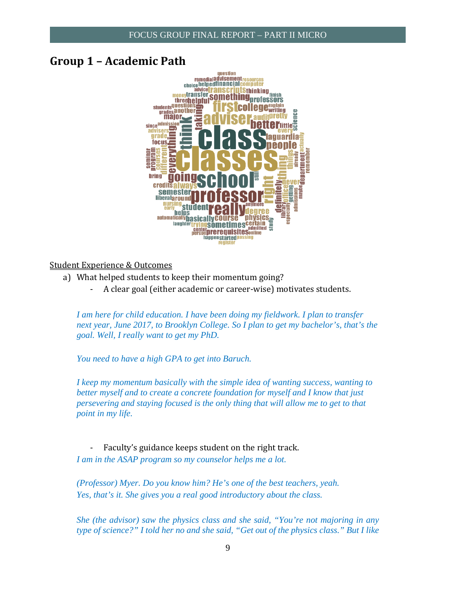### **Group 1 – Academic Path**



#### Student Experience & Outcomes

- a) What helped students to keep their momentum going?
	- A clear goal (either academic or career-wise) motivates students.

*I am here for child education. I have been doing my fieldwork. I plan to transfer next year, June 2017, to Brooklyn College. So I plan to get my bachelor's, that's the goal. Well, I really want to get my PhD.* 

*You need to have a high GPA to get into Baruch.* 

*I keep my momentum basically with the simple idea of wanting success, wanting to better myself and to create a concrete foundation for myself and I know that just persevering and staying focused is the only thing that will allow me to get to that point in my life.* 

Faculty's guidance keeps student on the right track. *I am in the ASAP program so my counselor helps me a lot.* 

*(Professor) Myer. Do you know him? He's one of the best teachers, yeah. Yes, that's it. She gives you a real good introductory about the class.* 

*She (the advisor) saw the physics class and she said, "You're not majoring in any type of science?" I told her no and she said, "Get out of the physics class." But I like*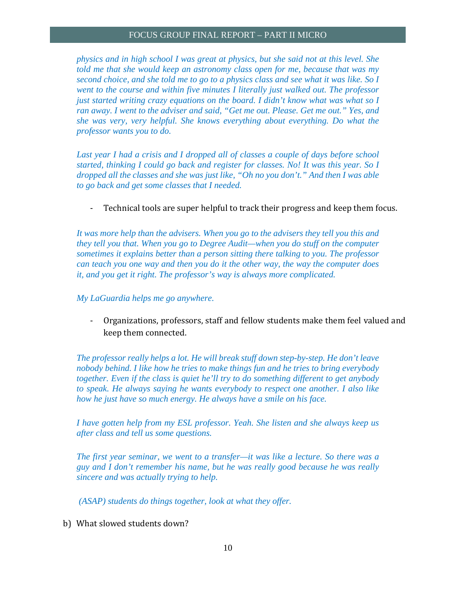*physics and in high school I was great at physics, but she said not at this level. She told me that she would keep an astronomy class open for me, because that was my second choice, and she told me to go to a physics class and see what it was like. So I went to the course and within five minutes I literally just walked out. The professor just started writing crazy equations on the board. I didn't know what was what so I ran away. I went to the adviser and said, "Get me out. Please. Get me out." Yes, and she was very, very helpful. She knows everything about everything. Do what the professor wants you to do.* 

Last year I had a crisis and I dropped all of classes a couple of days before school *started, thinking I could go back and register for classes. No! It was this year. So I dropped all the classes and she was just like, "Oh no you don't." And then I was able to go back and get some classes that I needed.* 

Technical tools are super helpful to track their progress and keep them focus.

*It was more help than the advisers. When you go to the advisers they tell you this and they tell you that. When you go to Degree Audit—when you do stuff on the computer sometimes it explains better than a person sitting there talking to you. The professor can teach you one way and then you do it the other way, the way the computer does it, and you get it right. The professor's way is always more complicated.* 

#### *My LaGuardia helps me go anywhere.*

- Organizations, professors, staff and fellow students make them feel valued and keep them connected.

*The professor really helps a lot. He will break stuff down step-by-step. He don't leave nobody behind. I like how he tries to make things fun and he tries to bring everybody together. Even if the class is quiet he'll try to do something different to get anybody to speak. He always saying he wants everybody to respect one another. I also like how he just have so much energy. He always have a smile on his face.* 

*I have gotten help from my ESL professor. Yeah. She listen and she always keep us after class and tell us some questions.* 

*The first year seminar, we went to a transfer—it was like a lecture. So there was a guy and I don't remember his name, but he was really good because he was really sincere and was actually trying to help.* 

 *(ASAP) students do things together, look at what they offer.* 

b) What slowed students down?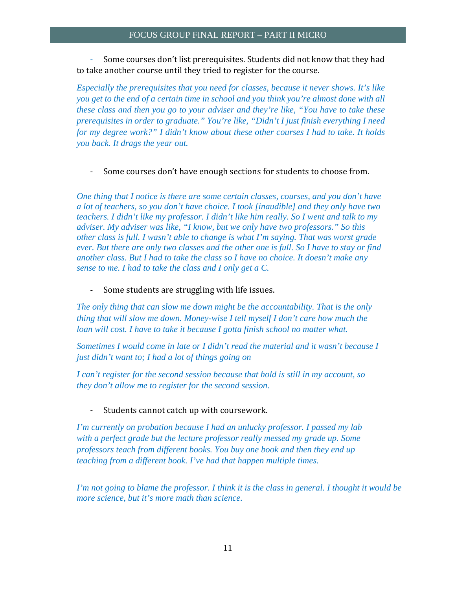Some courses don't list prerequisites. Students did not know that they had to take another course until they tried to register for the course.

*Especially the prerequisites that you need for classes, because it never shows. It's like you get to the end of a certain time in school and you think you're almost done with all these class and then you go to your adviser and they're like, "You have to take these prerequisites in order to graduate." You're like, "Didn't I just finish everything I need for my degree work?" I didn't know about these other courses I had to take. It holds you back. It drags the year out.* 

- Some courses don't have enough sections for students to choose from.

*One thing that I notice is there are some certain classes, courses, and you don't have a lot of teachers, so you don't have choice. I took [inaudible] and they only have two teachers. I didn't like my professor. I didn't like him really. So I went and talk to my adviser. My adviser was like, "I know, but we only have two professors." So this other class is full. I wasn't able to change is what I'm saying. That was worst grade ever. But there are only two classes and the other one is full. So I have to stay or find another class. But I had to take the class so I have no choice. It doesn't make any sense to me. I had to take the class and I only get a C.* 

Some students are struggling with life issues.

*The only thing that can slow me down might be the accountability. That is the only thing that will slow me down. Money-wise I tell myself I don't care how much the loan will cost. I have to take it because I gotta finish school no matter what.* 

*Sometimes I would come in late or I didn't read the material and it wasn't because I just didn't want to; I had a lot of things going on* 

*I can't register for the second session because that hold is still in my account, so they don't allow me to register for the second session.* 

Students cannot catch up with coursework.

*I'm currently on probation because I had an unlucky professor. I passed my lab with a perfect grade but the lecture professor really messed my grade up. Some professors teach from different books. You buy one book and then they end up* 

*teaching from a different book. I've had that happen multiple times.*<br>I'm not going to blame the professor. I think it is the class in general. I thought it would be *more science, but it's more math than science.*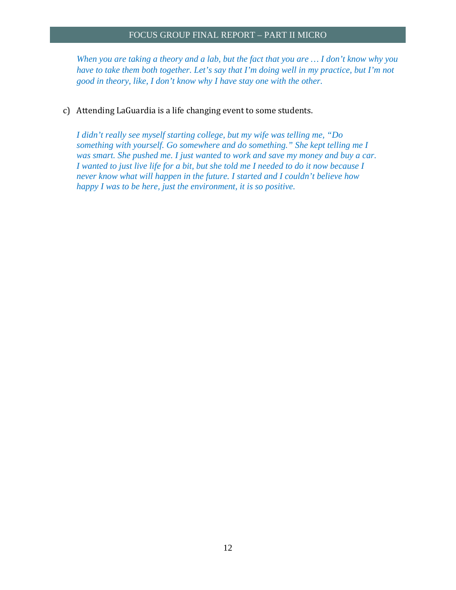*When you are taking a theory and a lab, but the fact that you are … I don't know why you have to take them both together. Let's say that I'm doing well in my practice, but I'm not good in theory, like, I don't know why I have stay one with the other.* 

c) Attending LaGuardia is a life changing event to some students.

*I didn't really see myself starting college, but my wife was telling me, "Do something with yourself. Go somewhere and do something." She kept telling me I was smart. She pushed me. I just wanted to work and save my money and buy a car. I* wanted to just live life for a bit, but she told me I needed to do it now because I *never know what will happen in the future. I started and I couldn't believe how happy I was to be here, just the environment, it is so positive.*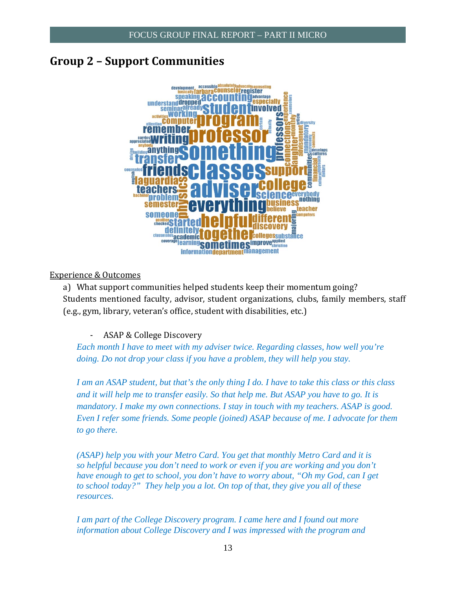# **Group 2 – Support Communities**



#### Experience & Outcomes

a) What support communities helped students keep their momentum going? Students mentioned faculty, advisor, student organizations, clubs, family members, staff (e.g., gym, library, veteran's office, student with disabilities, etc.)

ASAP & College Discovery

*Each month I have to meet with my adviser twice. Regarding classes, how well you're doing. Do not drop your class if you have a problem, they will help you stay.* 

*I am an ASAP student, but that's the only thing I do. I have to take this class or this class and it will help me to transfer easily. So that help me. But ASAP you have to go. It is mandatory. I make my own connections. I stay in touch with my teachers. ASAP is good. Even I refer some friends. Some people (joined) ASAP because of me. I advocate for them to go there.* 

*(ASAP) help you with your Metro Card. You get that monthly Metro Card and it is so helpful because you don't need to work or even if you are working and you don't have enough to get to school, you don't have to worry about, "Oh my God, can I get to school today?" They help you a lot. On top of that, they give you all of these resources.* 

*I am part of the College Discovery program. I came here and I found out more information about College Discovery and I was impressed with the program and*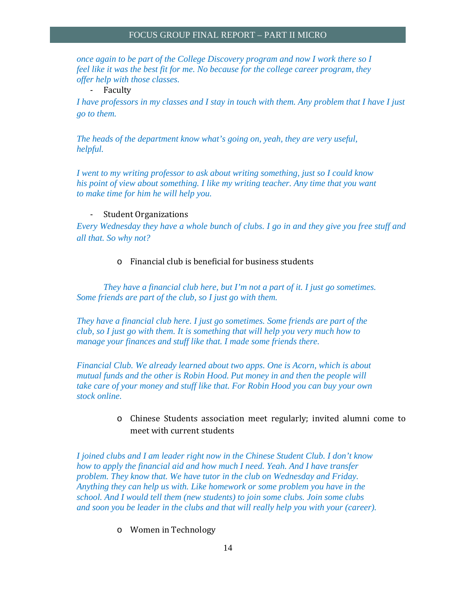*once again to be part of the College Discovery program and now I work there so I feel like it was the best fit for me. No because for the college career program, they offer help with those classes.*

‐ Faculty 

*I have professors in my classes and I stay in touch with them. Any problem that I have I just go to them.* 

*The heads of the department know what's going on, yeah, they are very useful, helpful.* 

*I went to my writing professor to ask about writing something, just so I could know his point of view about something. I like my writing teacher. Any time that you want to make time for him he will help you.* 

#### - Student Organizations

*Every Wednesday they have a whole bunch of clubs. I go in and they give you free stuff and all that. So why not?* 

#### $\circ$  Financial club is beneficial for business students

*They have a financial club here, but I'm not a part of it. I just go sometimes. Some friends are part of the club, so I just go with them.* 

*They have a financial club here. I just go sometimes. Some friends are part of the club, so I just go with them. It is something that will help you very much how to manage your finances and stuff like that. I made some friends there.* 

*Financial Club. We already learned about two apps. One is Acorn, which is about mutual funds and the other is Robin Hood. Put money in and then the people will take care of your money and stuff like that. For Robin Hood you can buy your own stock online.* 

> $\circ$  Chinese Students association meet regularly; invited alumni come to meet with current students

*I joined clubs and I am leader right now in the Chinese Student Club. I don't know how to apply the financial aid and how much I need. Yeah. And I have transfer problem. They know that. We have tutor in the club on Wednesday and Friday. Anything they can help us with. Like homework or some problem you have in the school. And I would tell them (new students) to join some clubs. Join some clubs and soon you be leader in the clubs and that will really help you with your (career).* 

o Women in Technology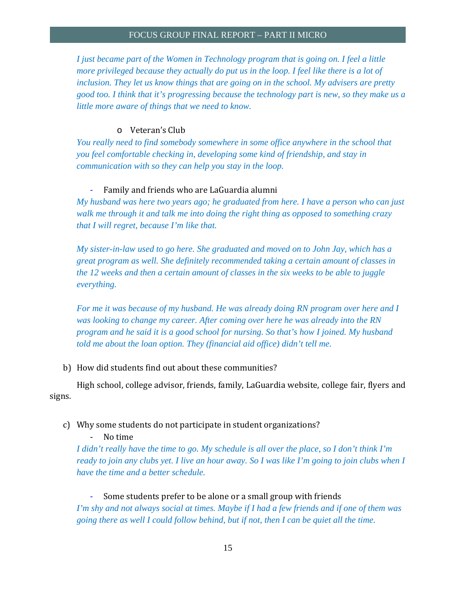*I just became part of the Women in Technology program that is going on. I feel a little more privileged because they actually do put us in the loop. I feel like there is a lot of inclusion. They let us know things that are going on in the school. My advisers are pretty good too. I think that it's progressing because the technology part is new, so they make us a little more aware of things that we need to know.* 

#### o Veteran's Club

*You really need to find somebody somewhere in some office anywhere in the school that you feel comfortable checking in, developing some kind of friendship, and stay in communication with so they can help you stay in the loop.* 

#### Family and friends who are LaGuardia alumni

*My husband was here two years ago; he graduated from here. I have a person who can just walk me through it and talk me into doing the right thing as opposed to something crazy that I will regret, because I'm like that.* 

*My sister-in-law used to go here. She graduated and moved on to John Jay, which has a great program as well. She definitely recommended taking a certain amount of classes in the 12 weeks and then a certain amount of classes in the six weeks to be able to juggle everything.* 

*For me it was because of my husband. He was already doing RN program over here and I was looking to change my career. After coming over here he was already into the RN program and he said it is a good school for nursing. So that's how I joined. My husband told me about the loan option. They (financial aid office) didn't tell me.* 

#### b) How did students find out about these communities?

High school, college advisor, friends, family, LaGuardia website, college fair, flyers and signs. 

#### c) Why some students do not participate in student organizations?

No time

*I didn't really have the time to go. My schedule is all over the place, so I don't think I'm ready to join any clubs yet. I live an hour away. So I was like I'm going to join clubs when I have the time and a better schedule.* 

Some students prefer to be alone or a small group with friends *I'm shy and not always social at times. Maybe if I had a few friends and if one of them was going there as well I could follow behind, but if not, then I can be quiet all the time.*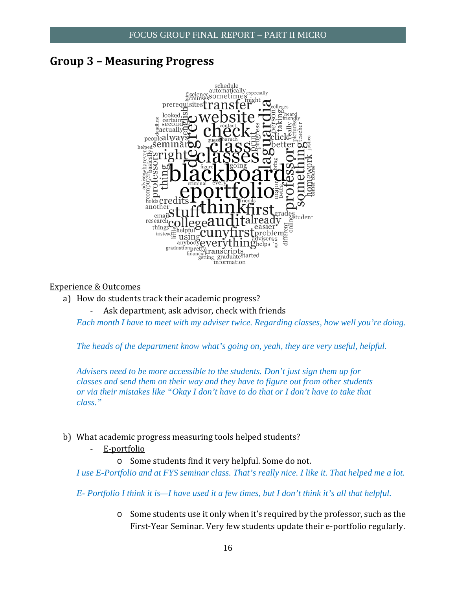### **Group 3 – Measuring Progress**



#### Experience & Outcomes

- a) How do students track their academic progress?
	- Ask department, ask advisor, check with friends

*Each month I have to meet with my adviser twice. Regarding classes, how well you're doing.* 

*The heads of the department know what's going on, yeah, they are very useful, helpful.* 

*Advisers need to be more accessible to the students. Don't just sign them up for classes and send them on their way and they have to figure out from other students or via their mistakes like "Okay I don't have to do that or I don't have to take that class."* 

- b) What academic progress measuring tools helped students?
	- ‐ E‐portfolio

o Some students find it very helpful. Some do not.

*I use E-Portfolio and at FYS seminar class. That's really nice. I like it. That helped me a lot.* 

*E- Portfolio I think it is—I have used it a few times, but I don't think it's all that helpful.* 

 $\circ$  Some students use it only when it's required by the professor, such as the First-Year Seminar. Very few students update their e-portfolio regularly.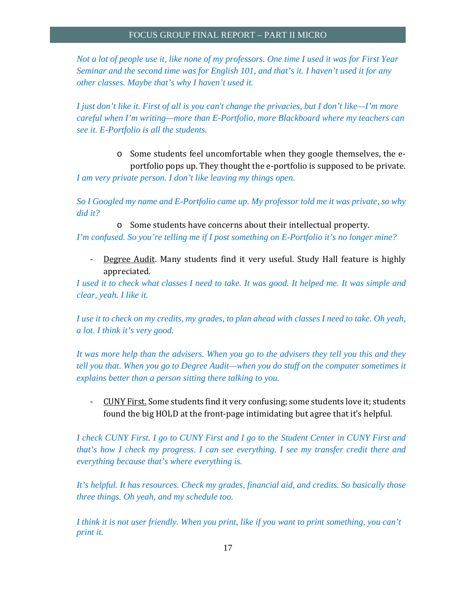*Not a lot of people use it, like none of my professors. One time I used it was for First Year Seminar and the second time was for English 101, and that's it. I haven't used it for any other classes. Maybe that's why I haven't used it.* 

*I just don't like it. First of all is you can't change the privacies, but I don't like—I'm more careful when I'm writing—more than E-Portfolio, more Blackboard where my teachers can see it. E-Portfolio is all the students.* 

portfolio pops up. They thought the e-portfolio is supposed to be private. o Some students feel uncomfortable when they google themselves, the e-*I am very private person. I don't like leaving my things open.* 

*So I Googled my name and E-Portfolio came up. My professor told me it was private, so why did it?* 

 $\circ$  Some students have concerns about their intellectual property.

*I'm confused. So you're telling me if I post something on E-Portfolio it's no longer mine?* 

 appreciated. Degree Audit. Many students find it very useful. Study Hall feature is highly

*I used it to check what classes I need to take. It was good. It helped me. It was simple and clear, yeah. I like it.* 

*I use it to check on my credits, my grades, to plan ahead with classes I need to take. Oh yeah, a lot. I think it's very good.* 

*It was more help than the advisers. When you go to the advisers they tell you this and they tell you that. When you go to Degree Audit—when you do stuff on the computer sometimes it explains better than a person sitting there talking to you.* 

CUNY First. Some students find it very confusing; some students love it; students found the big HOLD at the front-page intimidating but agree that it's helpful.

*I check CUNY First. I go to CUNY First and I go to the Student Center in CUNY First and that's how I check my progress. I can see everything. I see my transfer credit there and everything because that's where everything is.* 

*It's helpful. It has resources. Check my grades, financial aid, and credits. So basically those three things. Oh yeah, and my schedule too.* 

*I think it is not user friendly. When you print, like if you want to print something, you can't print it.*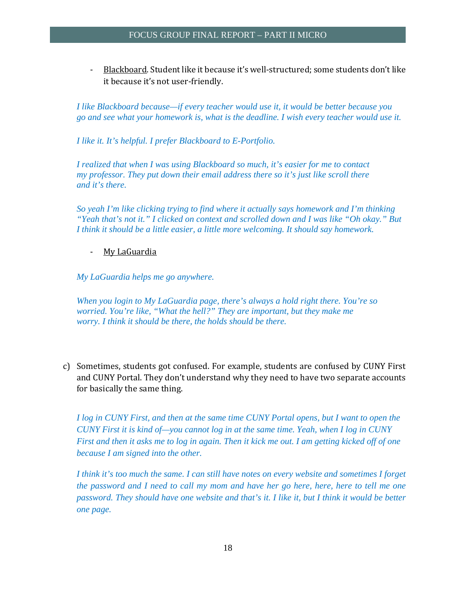Blackboard. Student like it because it's well-structured; some students don't like it because it's not user-friendly.

*I like Blackboard because—if every teacher would use it, it would be better because you go and see what your homework is, what is the deadline. I wish every teacher would use it.* 

*I like it. It's helpful. I prefer Blackboard to E-Portfolio.* 

*I realized that when I was using Blackboard so much, it's easier for me to contact my professor. They put down their email address there so it's just like scroll there and it's there.* 

*So yeah I'm like clicking trying to find where it actually says homework and I'm thinking "Yeah that's not it." I clicked on context and scrolled down and I was like "Oh okay." But I think it should be a little easier, a little more welcoming. It should say homework.* 

#### My LaGuardia

My LaGuardia helps me go anywhere.

*My LaGuardia helps me go anywhere. When you login to My LaGuardia page, there's always a hold right there. You're so worried. You're like, "What the hell?" They are important, but they make me worry. I think it should be there, the holds should be there.* 

c) Sometimes, students got confused. For example, students are confused by CUNY First and CUNY Portal. They don't understand why they need to have two separate accounts for basically the same thing.

*I log in CUNY First, and then at the same time CUNY Portal opens, but I want to open the CUNY First it is kind of—you cannot log in at the same time. Yeah, when I log in CUNY First and then it asks me to log in again. Then it kick me out. I am getting kicked off of one because I am signed into the other.* 

*I think it's too much the same. I can still have notes on every website and sometimes I forget the password and I need to call my mom and have her go here, here, here to tell me one password. They should have one website and that's it. I like it, but I think it would be better one page.*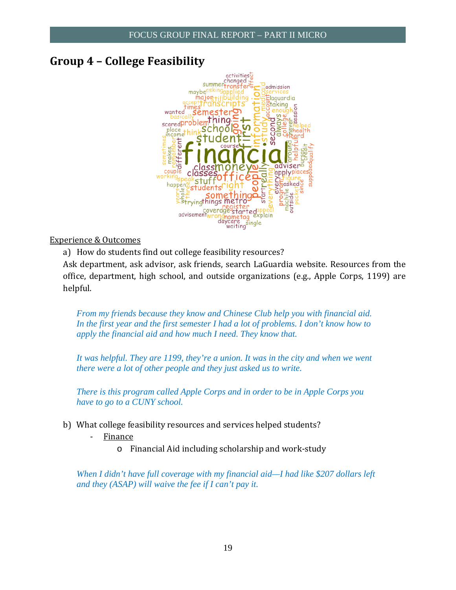# **Group 4 – College Feasibility**



Experience & Outcomes

helpful. 

a) How do students find out college feasibility resources? Ask department, ask advisor, ask friends, search LaGuardia website. Resources from the office, department, high school, and outside organizations (e.g., Apple Corps, 1199) are

*From my friends because they know and Chinese Club help you with financial aid. In the first year and the first semester I had a lot of problems. I don't know how to apply the financial aid and how much I need. They know that.* 

*It was helpful. They are 1199, they're a union. It was in the city and when we went there were a lot of other people and they just asked us to write.* 

*There is this program called Apple Corps and in order to be in Apple Corps you have to go to a CUNY school.* 

- b) What college feasibility resources and services helped students?
	- **Finance** 
		- $\circ$  Financial Aid including scholarship and work-study

*When I didn't have full coverage with my financial aid—I had like \$207 dollars left and they (ASAP) will waive the fee if I can't pay it.*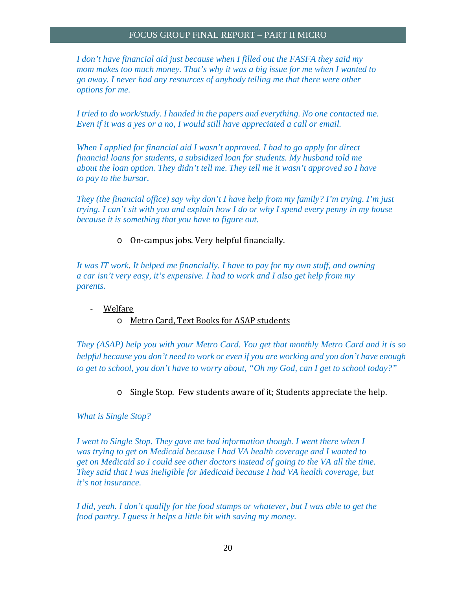*I don't have financial aid just because when I filled out the FASFA they said my mom makes too much money. That's why it was a big issue for me when I wanted to go away. I never had any resources of anybody telling me that there were other options for me.* 

*I tried to do work/study. I handed in the papers and everything. No one contacted me. Even if it was a yes or a no, I would still have appreciated a call or email.* 

*When I applied for financial aid I wasn't approved. I had to go apply for direct financial loans for students, a subsidized loan for students. My husband told me about the loan option. They didn't tell me. They tell me it wasn't approved so I have to pay to the bursar.* 

*They (the financial office) say why don't I have help from my family? I'm trying. I'm just trying. I can't sit with you and explain how I do or why I spend every penny in my house because it is something that you have to figure out.* 

 $\circ$  On-campus jobs. Very helpful financially.

*It was IT work*. *It helped me financially. I have to pay for my own stuff, and owning a car isn't very easy, it's expensive. I had to work and I also get help from my parents.* 

#### ‐ Welfare

#### o Metro Card, Text Books for ASAP students

*They (ASAP) help you with your Metro Card. You get that monthly Metro Card and it is so helpful because you don't need to work or even if you are working and you don't have enough to get to school, you don't have to worry about, "Oh my God, can I get to school today?"* 

o Single Stop. Few students aware of it; Students appreciate the help.

*What is Single Stop?* 

*I* went to Single Stop. They gave me bad information though. *I* went there when *I was trying to get on Medicaid because I had VA health coverage and I wanted to get on Medicaid so I could see other doctors instead of going to the VA all the time. They said that I was ineligible for Medicaid because I had VA health coverage, but it's not insurance.* 

*I did, yeah. I don't qualify for the food stamps or whatever, but I was able to get the food pantry. I guess it helps a little bit with saving my money.*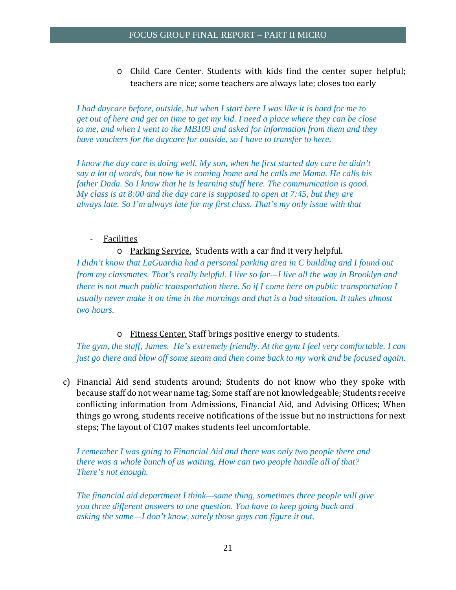o Child Care Center. Students with kids find the center super helpful; teachers are nice; some teachers are always late; closes too early

*I had daycare before, outside, but when I start here I was like it is hard for me to get out of here and get on time to get my kid. I need a place where they can be close to me, and when I went to the MB109 and asked for information from them and they have vouchers for the daycare for outside, so I have to transfer to here.* 

*I know the day care is doing well. My son, when he first started day care he didn't say a lot of words, but now he is coming home and he calls me Mama. He calls his father Dada. So I know that he is learning stuff here. The communication is good. My class is at 8:00 and the day care is supposed to open at 7:45, but they are always late. So I'm always late for my first class. That's my only issue with that* 

#### **Facilities**

#### o Parking Service. Students with a car find it very helpful.

*I didn't know that LaGuardia had a personal parking area in C building and I found out from my classmates. That's really helpful. I live so far—I live all the way in Brooklyn and there is not much public transportation there. So if I come here on public transportation I usually never make it on time in the mornings and that is a bad situation. It takes almost two hours.* 

#### $\circ$  Fitness Center. Staff brings positive energy to students.

*The gym, the staff, James. He's extremely friendly. At the gym I feel very comfortable. I can just go there and blow off some steam and then come back to my work and be focused again.* 

because staff do not wear name tag; Some staff are not knowledgeable; Students receive c) Financial Aid send students around; Students do not know who they spoke with conflicting information from Admissions, Financial Aid, and Advising Offices; When things go wrong, students receive notifications of the issue but no instructions for next steps; The layout of C107 makes students feel uncomfortable.

*I remember I was going to Financial Aid and there was only two people there and there was a whole bunch of us waiting. How can two people handle all of that? There's not enough.* 

*The financial aid department I think—same thing, sometimes three people will give you three different answers to one question. You have to keep going back and asking the same—I don't know, surely those guys can figure it out.*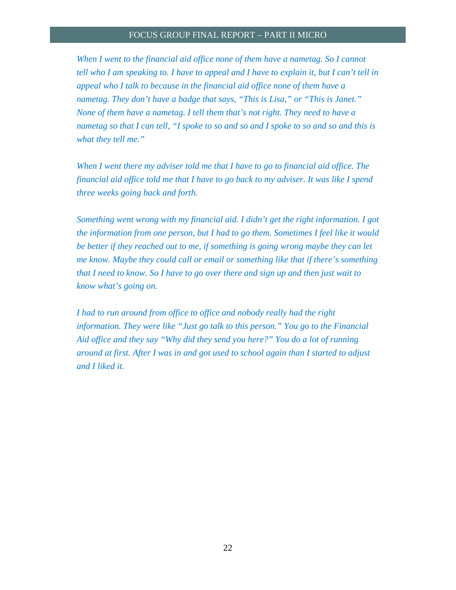When I went to the financial aid office none of them have a nametag. So I cannot *tell who I am speaking to. I have to appeal and I have to explain it, but I can't tell in appeal who I talk to because in the financial aid office none of them have a nametag. They don't have a badge that says, "This is Lisa," or "This is Janet." None of them have a nametag. I tell them that's not right. They need to have a nametag so that I can tell, "I spoke to so and so and I spoke to so and so and this is what they tell me."* 

*When I went there my adviser told me that I have to go to financial aid office. The financial aid office told me that I have to go back to my adviser. It was like I spend three weeks going back and forth.* 

*Something went wrong with my financial aid. I didn't get the right information. I got the information from one person, but I had to go them. Sometimes I feel like it would be better if they reached out to me, if something is going wrong maybe they can let me know. Maybe they could call or email or something like that if there's something that I need to know. So I have to go over there and sign up and then just wait to know what's going on.* 

*I had to run around from office to office and nobody really had the right information. They were like "Just go talk to this person." You go to the Financial Aid office and they say "Why did they send you here?" You do a lot of running around at first. After I was in and got used to school again than I started to adjust and I liked it.*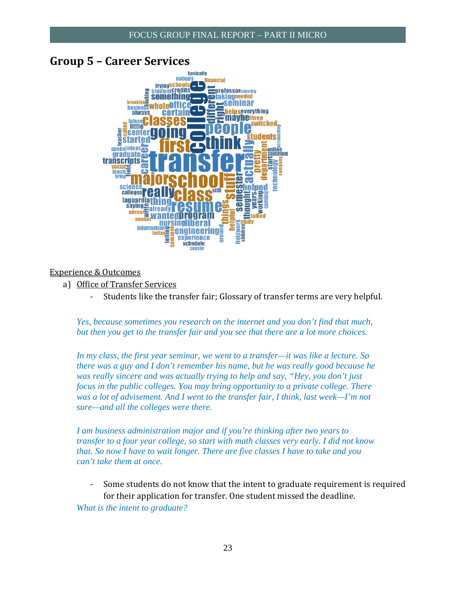### **Group 5 – Career Services**



#### Experience & Outcomes

- a) Office of Transfer Services
	- Students like the transfer fair; Glossary of transfer terms are very helpful.

*Yes, because sometimes you research on the internet and you don't find that much, but then you get to the transfer fair and you see that there are a lot more choices.* 

*In my class, the first year seminar, we went to a transfer—it was like a lecture. So there was a guy and I don't remember his name, but he was really good because he was really sincere and was actually trying to help and say, "Hey, you don't just focus in the public colleges. You may bring opportunity to a private college. There was a lot of advisement. And I went to the transfer fair, I think, last week—I'm not sure—and all the colleges were there.* 

*I am business administration major and if you're thinking after two years to transfer to a four year college, so start with math classes very early. I did not know that. So now I have to wait longer. There are five classes I have to take and you can't take them at once.* 

Some students do not know that the intent to graduate requirement is required for their application for transfer. One student missed the deadline. *What is the intent to graduate?*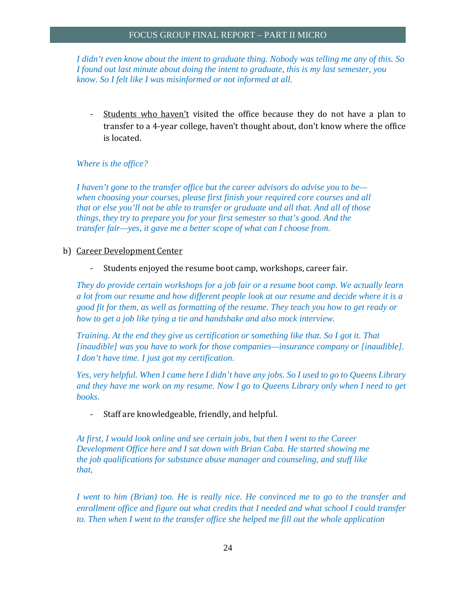*I didn't even know about the intent to graduate thing. Nobody was telling me any of this. So I found out last minute about doing the intent to graduate, this is my last semester, you know. So I felt like I was misinformed or not informed at all.* 

Students who haven't visited the office because they do not have a plan to transfer to a 4-year college, haven't thought about, don't know where the office is located. 

#### *Where is the office?*

*I haven't gone to the transfer office but the career advisors do advise you to be when choosing your courses, please first finish your required core courses and all that or else you'll not be able to transfer or graduate and all that. And all of those things, they try to prepare you for your first semester so that's good. And the transfer fair—yes, it gave me a better scope of what can I choose from.* 

b) Career Development Center

- Students enjoyed the resume boot camp, workshops, career fair.

*They do provide certain workshops for a job fair or a resume boot camp. We actually learn a lot from our resume and how different people look at our resume and decide where it is a good fit for them, as well as formatting of the resume. They teach you how to get ready or how to get a job like tying a tie and handshake and also mock interview.* 

*Training. At the end they give us certification or something like that. So I got it. That [inaudible] was you have to work for those companies—insurance company or [inaudible]. I don't have time. I just got my certification.* 

*Yes, very helpful. When I came here I didn't have any jobs. So I used to go to Queens Library and they have me work on my resume. Now I go to Queens Library only when I need to get books.* 

- Staff are knowledgeable, friendly, and helpful.

*At first, I would look online and see certain jobs, but then I went to the Career Development Office here and I sat down with Brian Caba. He started showing me the job qualifications for substance abuse manager and counseling, and stuff like that,* 

*I* went to him (Brian) too. He is really nice. He convinced me to go to the transfer and *enrollment office and figure out what credits that I needed and what school I could transfer to. Then when I went to the transfer office she helped me fill out the whole application*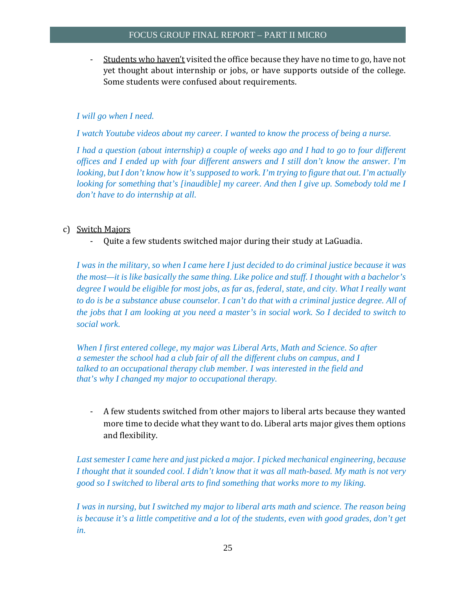Students who haven't visited the office because they have no time to go, have not yet thought about internship or jobs, or have supports outside of the college. Some students were confused about requirements.

#### *I will go when I need.*

*I watch Youtube videos about my career. I wanted to know the process of being a nurse.* 

*I had a question (about internship) a couple of weeks ago and I had to go to four different offices and I ended up with four different answers and I still don't know the answer. I'm looking, but I don't know how it's supposed to work. I'm trying to figure that out. I'm actually looking for something that's [inaudible] my career. And then I give up. Somebody told me I don't have to do internship at all.* 

#### c) Switch Majors

Quite a few students switched major during their study at LaGuadia.

*I was in the military, so when I came here I just decided to do criminal justice because it was the most—it is like basically the same thing. Like police and stuff. I thought with a bachelor's degree I would be eligible for most jobs, as far as, federal, state, and city. What I really want to do is be a substance abuse counselor. I can't do that with a criminal justice degree. All of the jobs that I am looking at you need a master's in social work. So I decided to switch to social work.* 

*When I first entered college, my major was Liberal Arts, Math and Science. So after a semester the school had a club fair of all the different clubs on campus, and I talked to an occupational therapy club member. I was interested in the field and that's why I changed my major to occupational therapy.* 

more time to decide what they want to do. Liberal arts major gives them options A few students switched from other majors to liberal arts because they wanted and flexibility.

*Last semester I came here and just picked a major. I picked mechanical engineering, because I thought that it sounded cool. I didn't know that it was all math-based. My math is not very good so I switched to liberal arts to find something that works more to my liking.* 

*I was in nursing, but I switched my major to liberal arts math and science. The reason being is because it's a little competitive and a lot of the students, even with good grades, don't get in.*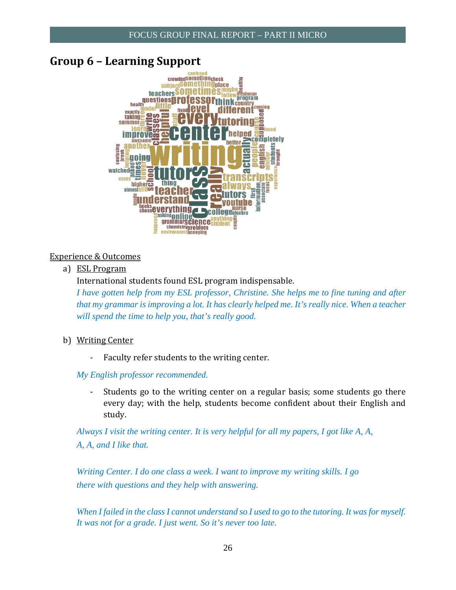### **Group 6 – Learning Support**



#### Experience & Outcomes

a) ESL Program

International students found ESL program indispensable.

*I have gotten help from my ESL professor, Christine. She helps me to fine tuning and after that my grammar is improving a lot. It has clearly helped me. It's really nice. When a teacher will spend the time to help you, that's really good.* 

- b) Writing Center
	- Faculty refer students to the writing center.

*My English professor recommended.* 

Students go to the writing center on a regular basis; some students go there every day; with the help, students become confident about their English and study. 

*Always I visit the writing center. It is very helpful for all my papers, I got like A, A, A, A, and I like that.* 

*Writing Center. I do one class a week. I want to improve my writing skills. I go there with questions and they help with answering.* 

*When I failed in the class I cannot understand so I used to go to the tutoring. It was for myself. It was not for a grade. I just went. So it's never too late.*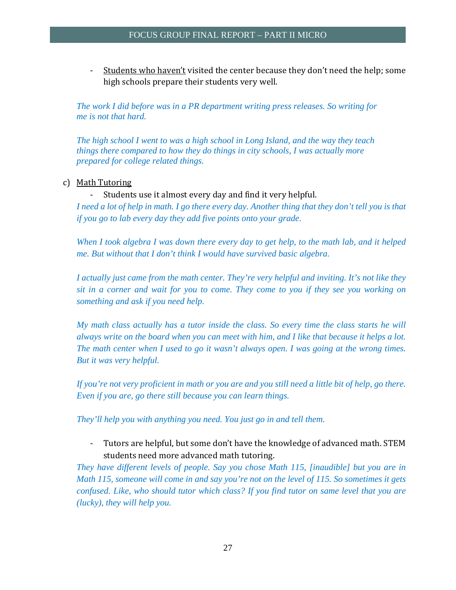Students who haven't visited the center because they don't need the help; some high schools prepare their students very well.

*The work I did before was in a PR department writing press releases. So writing for me is not that hard.* 

*The high school I went to was a high school in Long Island, and the way they teach things there compared to how they do things in city schools, I was actually more prepared for college related things.* 

#### c) Math Tutoring

#### - Students use it almost every day and find it very helpful.

*I need a lot of help in math. I go there every day. Another thing that they don't tell you is that if you go to lab every day they add five points onto your grade.* 

*When I took algebra I was down there every day to get help, to the math lab, and it helped me. But without that I don't think I would have survived basic algebra.* 

*I actually just came from the math center. They're very helpful and inviting. It's not like they sit in a corner and wait for you to come. They come to you if they see you working on something and ask if you need help.* 

*My math class actually has a tutor inside the class. So every time the class starts he will always write on the board when you can meet with him, and I like that because it helps a lot. The math center when I used to go it wasn't always open. I was going at the wrong times. But it was very helpful.* 

*If you're not very proficient in math or you are and you still need a little bit of help, go there. Even if you are, go there still because you can learn things.* 

*They'll help you with anything you need. You just go in and tell them.* 

Tutors are helpful, but some don't have the knowledge of advanced math. STEM students need more advanced math tutoring.

*They have different levels of people. Say you chose Math 115, [inaudible] but you are in Math 115, someone will come in and say you're not on the level of 115. So sometimes it gets confused. Like, who should tutor which class? If you find tutor on same level that you are (lucky), they will help you.*